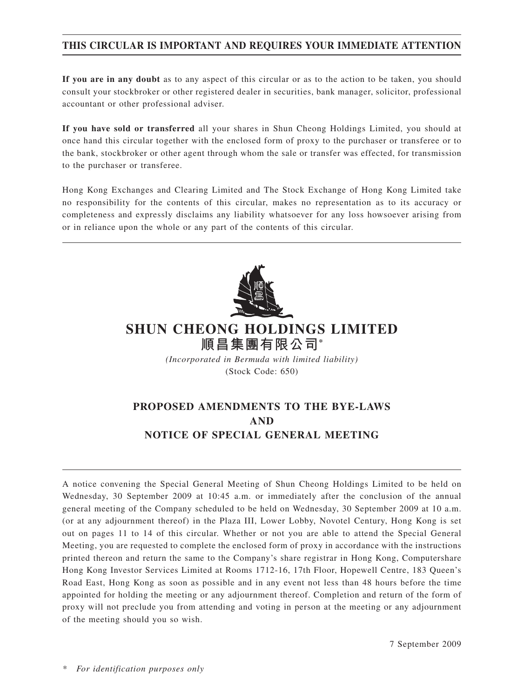# **THIS CIRCULAR IS IMPORTANT AND REQUIRES YOUR IMMEDIATE ATTENTION**

**If you are in any doubt** as to any aspect of this circular or as to the action to be taken, you should consult your stockbroker or other registered dealer in securities, bank manager, solicitor, professional accountant or other professional adviser.

**If you have sold or transferred** all your shares in Shun Cheong Holdings Limited, you should at once hand this circular together with the enclosed form of proxy to the purchaser or transferee or to the bank, stockbroker or other agent through whom the sale or transfer was effected, for transmission to the purchaser or transferee.

Hong Kong Exchanges and Clearing Limited and The Stock Exchange of Hong Kong Limited take no responsibility for the contents of this circular, makes no representation as to its accuracy or completeness and expressly disclaims any liability whatsoever for any loss howsoever arising from or in reliance upon the whole or any part of the contents of this circular.



# **SHUN CHEONG HOLDINGS LIMITED 順昌集團有限公司\***

*(Incorporated in Bermuda with limited liability)* (Stock Code: 650)

# **PROPOSED AMENDMENTS TO THE BYE-LAWS AND NOTICE OF SPECIAL GENERAL MEETING**

A notice convening the Special General Meeting of Shun Cheong Holdings Limited to be held on Wednesday, 30 September 2009 at 10:45 a.m. or immediately after the conclusion of the annual general meeting of the Company scheduled to be held on Wednesday, 30 September 2009 at 10 a.m. (or at any adjournment thereof) in the Plaza III, Lower Lobby, Novotel Century, Hong Kong is set out on pages 11 to 14 of this circular. Whether or not you are able to attend the Special General Meeting, you are requested to complete the enclosed form of proxy in accordance with the instructions printed thereon and return the same to the Company's share registrar in Hong Kong, Computershare Hong Kong Investor Services Limited at Rooms 1712-16, 17th Floor, Hopewell Centre, 183 Queen's Road East, Hong Kong as soon as possible and in any event not less than 48 hours before the time appointed for holding the meeting or any adjournment thereof. Completion and return of the form of proxy will not preclude you from attending and voting in person at the meeting or any adjournment of the meeting should you so wish.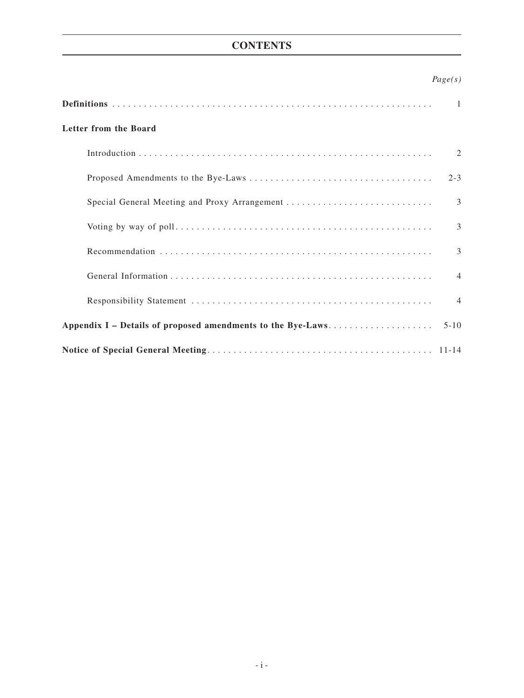# **CONTENTS**

# *Page(s)*

|                                                             | $\mathbf{1}$   |
|-------------------------------------------------------------|----------------|
| Letter from the Board                                       |                |
|                                                             | 2              |
|                                                             | $2 - 3$        |
| Special General Meeting and Proxy Arrangement               | 3              |
|                                                             | $\mathcal{E}$  |
|                                                             | $\mathcal{E}$  |
|                                                             | $\overline{4}$ |
|                                                             | $\overline{4}$ |
| Appendix I – Details of proposed amendments to the Bye-Laws |                |
|                                                             |                |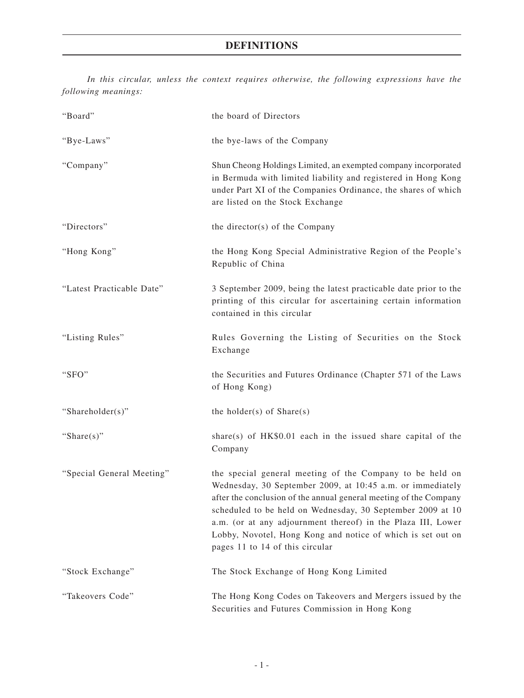# **DEFINITIONS**

*In this circular, unless the context requires otherwise, the following expressions have the following meanings:*

| "Board"                   | the board of Directors                                                                                                                                                                                                                                                                                                                                                                                                      |
|---------------------------|-----------------------------------------------------------------------------------------------------------------------------------------------------------------------------------------------------------------------------------------------------------------------------------------------------------------------------------------------------------------------------------------------------------------------------|
| "Bye-Laws"                | the bye-laws of the Company                                                                                                                                                                                                                                                                                                                                                                                                 |
| "Company"                 | Shun Cheong Holdings Limited, an exempted company incorporated<br>in Bermuda with limited liability and registered in Hong Kong<br>under Part XI of the Companies Ordinance, the shares of which<br>are listed on the Stock Exchange                                                                                                                                                                                        |
| "Directors"               | the director(s) of the Company                                                                                                                                                                                                                                                                                                                                                                                              |
| "Hong Kong"               | the Hong Kong Special Administrative Region of the People's<br>Republic of China                                                                                                                                                                                                                                                                                                                                            |
| "Latest Practicable Date" | 3 September 2009, being the latest practicable date prior to the<br>printing of this circular for ascertaining certain information<br>contained in this circular                                                                                                                                                                                                                                                            |
| "Listing Rules"           | Rules Governing the Listing of Securities on the Stock<br>Exchange                                                                                                                                                                                                                                                                                                                                                          |
| "SFO"                     | the Securities and Futures Ordinance (Chapter 571 of the Laws<br>of Hong Kong)                                                                                                                                                                                                                                                                                                                                              |
| "Shareholder(s)"          | the holder(s) of $Share(s)$                                                                                                                                                                                                                                                                                                                                                                                                 |
| "Share $(s)$ "            | share(s) of $HK$0.01$ each in the issued share capital of the<br>Company                                                                                                                                                                                                                                                                                                                                                    |
| "Special General Meeting" | the special general meeting of the Company to be held on<br>Wednesday, 30 September 2009, at 10:45 a.m. or immediately<br>after the conclusion of the annual general meeting of the Company<br>scheduled to be held on Wednesday, 30 September 2009 at 10<br>a.m. (or at any adjournment thereof) in the Plaza III, Lower<br>Lobby, Novotel, Hong Kong and notice of which is set out on<br>pages 11 to 14 of this circular |
| "Stock Exchange"          | The Stock Exchange of Hong Kong Limited                                                                                                                                                                                                                                                                                                                                                                                     |
| "Takeovers Code"          | The Hong Kong Codes on Takeovers and Mergers issued by the<br>Securities and Futures Commission in Hong Kong                                                                                                                                                                                                                                                                                                                |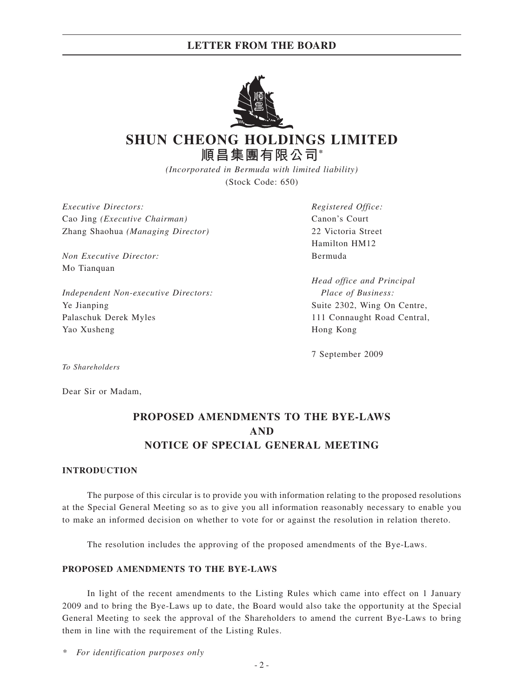# **LETTER FROM THE BOARD**



# **SHUN CHEONG HOLDINGS LIMITED 順昌集團有限公司\***

*(Incorporated in Bermuda with limited liability)* (Stock Code: 650)

*Executive Directors: Registered Office:* Cao Jing *(Executive Chairman)* Canon's Court Zhang Shaohua *(Managing Director)* 22 Victoria Street

*Non Executive Director:* Bermuda Mo Tianquan

*Independent Non-executive Directors: Place of Business:* Ye Jianping Suite 2302, Wing On Centre, Palaschuk Derek Myles 111 Connaught Road Central, Yao Xusheng Hong Kong

Hamilton HM12

*Head office and Principal*

7 September 2009

*To Shareholders*

Dear Sir or Madam,

# **PROPOSED AMENDMENTS TO THE BYE-LAWS AND NOTICE OF SPECIAL GENERAL MEETING**

### **INTRODUCTION**

The purpose of this circular is to provide you with information relating to the proposed resolutions at the Special General Meeting so as to give you all information reasonably necessary to enable you to make an informed decision on whether to vote for or against the resolution in relation thereto.

The resolution includes the approving of the proposed amendments of the Bye-Laws.

## **PROPOSED AMENDMENTS TO THE BYE-LAWS**

In light of the recent amendments to the Listing Rules which came into effect on 1 January 2009 and to bring the Bye-Laws up to date, the Board would also take the opportunity at the Special General Meeting to seek the approval of the Shareholders to amend the current Bye-Laws to bring them in line with the requirement of the Listing Rules.

*\* For identification purposes only*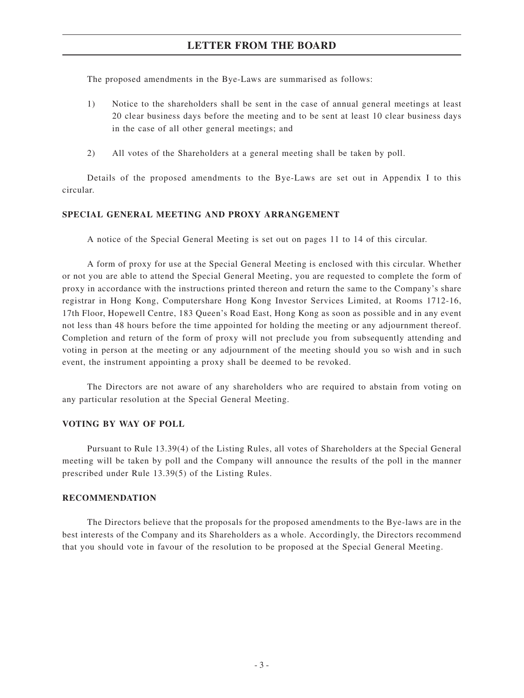# **LETTER FROM THE BOARD**

The proposed amendments in the Bye-Laws are summarised as follows:

- 1) Notice to the shareholders shall be sent in the case of annual general meetings at least 20 clear business days before the meeting and to be sent at least 10 clear business days in the case of all other general meetings; and
- 2) All votes of the Shareholders at a general meeting shall be taken by poll.

Details of the proposed amendments to the Bye-Laws are set out in Appendix I to this circular.

### **SPECIAL GENERAL MEETING AND PROXY ARRANGEMENT**

A notice of the Special General Meeting is set out on pages 11 to 14 of this circular.

A form of proxy for use at the Special General Meeting is enclosed with this circular. Whether or not you are able to attend the Special General Meeting, you are requested to complete the form of proxy in accordance with the instructions printed thereon and return the same to the Company's share registrar in Hong Kong, Computershare Hong Kong Investor Services Limited, at Rooms 1712-16, 17th Floor, Hopewell Centre, 183 Queen's Road East, Hong Kong as soon as possible and in any event not less than 48 hours before the time appointed for holding the meeting or any adjournment thereof. Completion and return of the form of proxy will not preclude you from subsequently attending and voting in person at the meeting or any adjournment of the meeting should you so wish and in such event, the instrument appointing a proxy shall be deemed to be revoked.

The Directors are not aware of any shareholders who are required to abstain from voting on any particular resolution at the Special General Meeting.

### **VOTING BY WAY OF POLL**

Pursuant to Rule 13.39(4) of the Listing Rules, all votes of Shareholders at the Special General meeting will be taken by poll and the Company will announce the results of the poll in the manner prescribed under Rule 13.39(5) of the Listing Rules.

### **RECOMMENDATION**

The Directors believe that the proposals for the proposed amendments to the Bye-laws are in the best interests of the Company and its Shareholders as a whole. Accordingly, the Directors recommend that you should vote in favour of the resolution to be proposed at the Special General Meeting.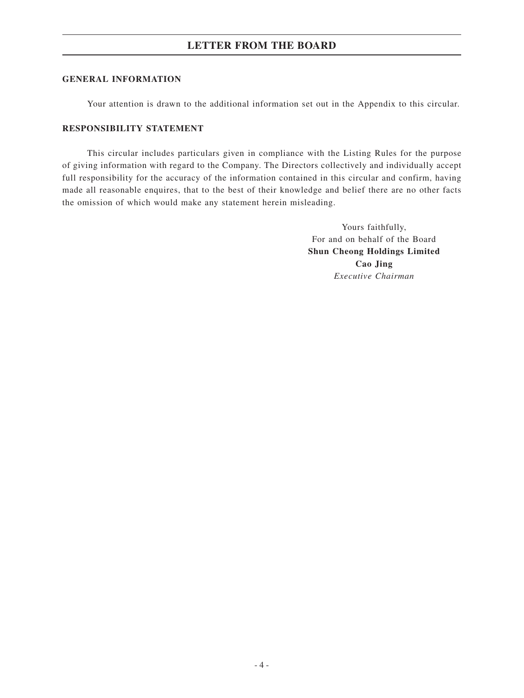# **LETTER FROM THE BOARD**

### **GENERAL INFORMATION**

Your attention is drawn to the additional information set out in the Appendix to this circular.

### **RESPONSIBILITY STATEMENT**

This circular includes particulars given in compliance with the Listing Rules for the purpose of giving information with regard to the Company. The Directors collectively and individually accept full responsibility for the accuracy of the information contained in this circular and confirm, having made all reasonable enquires, that to the best of their knowledge and belief there are no other facts the omission of which would make any statement herein misleading.

> Yours faithfully, For and on behalf of the Board **Shun Cheong Holdings Limited Cao Jing** *Executive Chairman*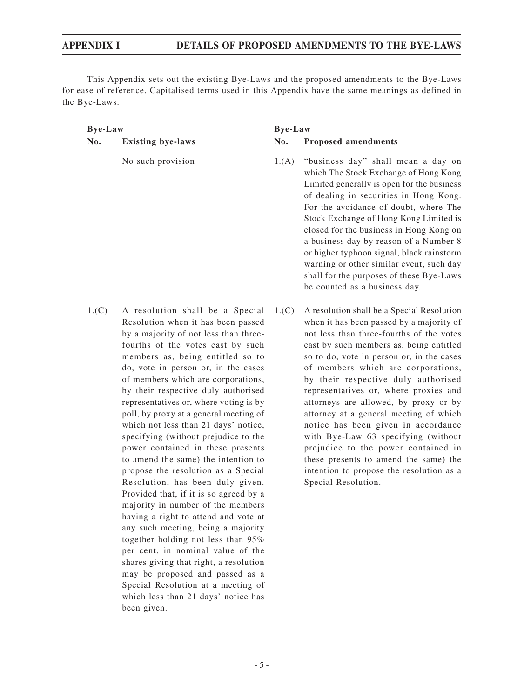This Appendix sets out the existing Bye-Laws and the proposed amendments to the Bye-Laws for ease of reference. Capitalised terms used in this Appendix have the same meanings as defined in the Bye-Laws.

### **Bye-Law Bye-Law**

- No such provision 1.(A) "business day" shall mean a day on which The Stock Exchange of Hong Kong Limited generally is open for the business of dealing in securities in Hong Kong. For the avoidance of doubt, where The Stock Exchange of Hong Kong Limited is closed for the business in Hong Kong on a business day by reason of a Number 8 or higher typhoon signal, black rainstorm warning or other similar event, such day shall for the purposes of these Bye-Laws be counted as a business day.
- 1.(C) A resolution shall be a Special Resolution when it has been passed by a majority of not less than threefourths of the votes cast by such members as, being entitled so to do, vote in person or, in the cases of members which are corporations, by their respective duly authorised representatives or, where voting is by poll, by proxy at a general meeting of which not less than 21 days' notice, specifying (without prejudice to the power contained in these presents to amend the same) the intention to propose the resolution as a Special Resolution, has been duly given. Provided that, if it is so agreed by a majority in number of the members having a right to attend and vote at any such meeting, being a majority together holding not less than 95% per cent. in nominal value of the shares giving that right, a resolution may be proposed and passed as a Special Resolution at a meeting of which less than 21 days' notice has been given.
	- A resolution shall be a Special Resolution when it has been passed by a majority of not less than three-fourths of the votes cast by such members as, being entitled so to do, vote in person or, in the cases of members which are corporations, by their respective duly authorised representatives or, where proxies and attorneys are allowed, by proxy or by attorney at a general meeting of which notice has been given in accordance with Bye-Law 63 specifying (without prejudice to the power contained in these presents to amend the same) the intention to propose the resolution as a Special Resolution.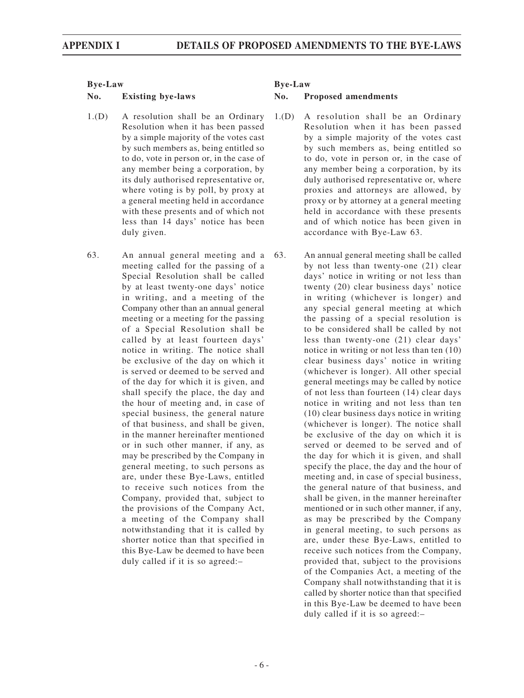- 1.(D) A resolution shall be an Ordinary Resolution when it has been passed by a simple majority of the votes cast by such members as, being entitled so to do, vote in person or, in the case of any member being a corporation, by its duly authorised representative or, where voting is by poll, by proxy at a general meeting held in accordance with these presents and of which not less than 14 days' notice has been duly given.
- 63. An annual general meeting and a meeting called for the passing of a Special Resolution shall be called by at least twenty-one days' notice in writing, and a meeting of the Company other than an annual general meeting or a meeting for the passing of a Special Resolution shall be called by at least fourteen days' notice in writing. The notice shall be exclusive of the day on which it is served or deemed to be served and of the day for which it is given, and shall specify the place, the day and the hour of meeting and, in case of special business, the general nature of that business, and shall be given, in the manner hereinafter mentioned or in such other manner, if any, as may be prescribed by the Company in general meeting, to such persons as are, under these Bye-Laws, entitled to receive such notices from the Company, provided that, subject to the provisions of the Company Act, a meeting of the Company shall notwithstanding that it is called by shorter notice than that specified in this Bye-Law be deemed to have been duly called if it is so agreed:–

- 1.(D) A resolution shall be an Ordinary Resolution when it has been passed by a simple majority of the votes cast by such members as, being entitled so to do, vote in person or, in the case of any member being a corporation, by its duly authorised representative or, where proxies and attorneys are allowed, by proxy or by attorney at a general meeting held in accordance with these presents and of which notice has been given in accordance with Bye-Law 63.
- 63. An annual general meeting shall be called by not less than twenty-one (21) clear days' notice in writing or not less than twenty (20) clear business days' notice in writing (whichever is longer) and any special general meeting at which the passing of a special resolution is to be considered shall be called by not less than twenty-one (21) clear days' notice in writing or not less than ten (10) clear business days' notice in writing (whichever is longer). All other special general meetings may be called by notice of not less than fourteen (14) clear days notice in writing and not less than ten (10) clear business days notice in writing (whichever is longer). The notice shall be exclusive of the day on which it is served or deemed to be served and of the day for which it is given, and shall specify the place, the day and the hour of meeting and, in case of special business, the general nature of that business, and shall be given, in the manner hereinafter mentioned or in such other manner, if any, as may be prescribed by the Company in general meeting, to such persons as are, under these Bye-Laws, entitled to receive such notices from the Company, provided that, subject to the provisions of the Companies Act, a meeting of the Company shall notwithstanding that it is called by shorter notice than that specified in this Bye-Law be deemed to have been duly called if it is so agreed:–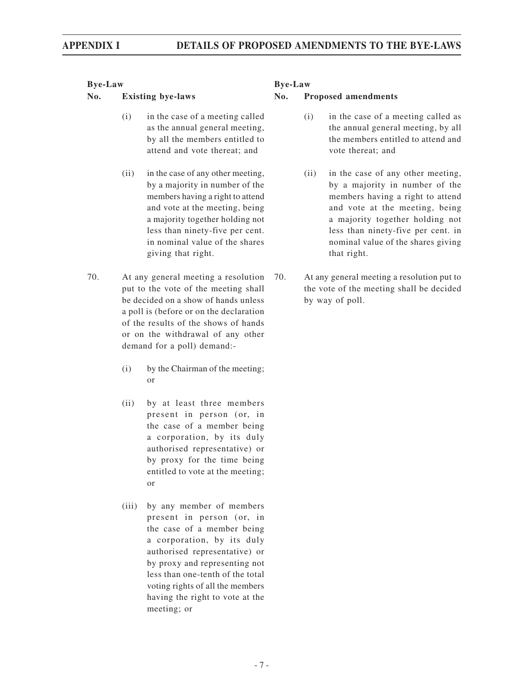- (i) in the case of a meeting called as the annual general meeting, by all the members entitled to attend and vote thereat; and
- (ii) in the case of any other meeting, by a majority in number of the members having a right to attend and vote at the meeting, being a majority together holding not less than ninety-five per cent. in nominal value of the shares giving that right.
- 70. At any general meeting a resolution put to the vote of the meeting shall be decided on a show of hands unless a poll is (before or on the declaration of the results of the shows of hands or on the withdrawal of any other demand for a poll) demand:-
	- (i) by the Chairman of the meeting; or
	- (ii) by at least three members present in person (or, in the case of a member being a corporation, by its duly authorised representative) or by proxy for the time being entitled to vote at the meeting; or
	- (iii) by any member of members present in person (or, in the case of a member being a corporation, by its duly authorised representative) or by proxy and representing not less than one-tenth of the total voting rights of all the members having the right to vote at the meeting; or

- (i) in the case of a meeting called as the annual general meeting, by all the members entitled to attend and vote thereat; and
- (ii) in the case of any other meeting, by a majority in number of the members having a right to attend and vote at the meeting, being a majority together holding not less than ninety-five per cent. in nominal value of the shares giving that right.
- 70. At any general meeting a resolution put to the vote of the meeting shall be decided by way of poll.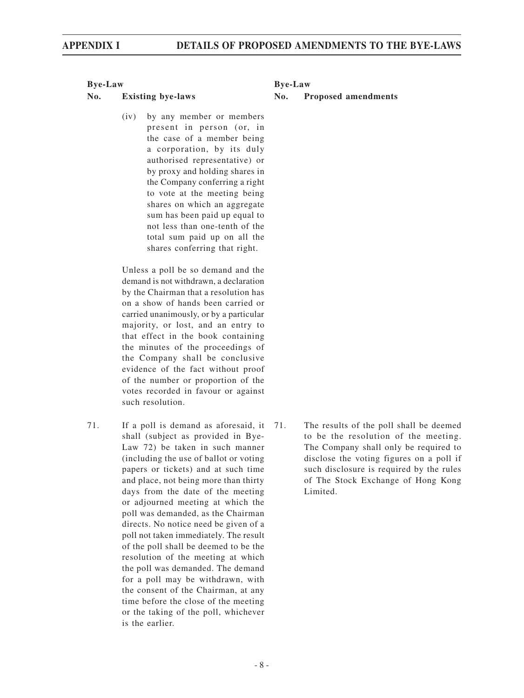(iv) by any member or members present in person (or, in the case of a member being a corporation, by its duly authorised representative) or by proxy and holding shares in the Company conferring a right to vote at the meeting being shares on which an aggregate sum has been paid up equal to not less than one-tenth of the total sum paid up on all the shares conferring that right.

Unless a poll be so demand and the demand is not withdrawn, a declaration by the Chairman that a resolution has on a show of hands been carried or carried unanimously, or by a particular majority, or lost, and an entry to that effect in the book containing the minutes of the proceedings of the Company shall be conclusive evidence of the fact without proof of the number or proportion of the votes recorded in favour or against such resolution.

71. If a poll is demand as aforesaid, it shall (subject as provided in Bye-Law 72) be taken in such manner (including the use of ballot or voting papers or tickets) and at such time and place, not being more than thirty days from the date of the meeting or adjourned meeting at which the poll was demanded, as the Chairman directs. No notice need be given of a poll not taken immediately. The result of the poll shall be deemed to be the resolution of the meeting at which the poll was demanded. The demand for a poll may be withdrawn, with the consent of the Chairman, at any time before the close of the meeting or the taking of the poll, whichever is the earlier.

### **No. Existing bye-laws No. Proposed amendments**

The results of the poll shall be deemed to be the resolution of the meeting. The Company shall only be required to disclose the voting figures on a poll if such disclosure is required by the rules of The Stock Exchange of Hong Kong Limited.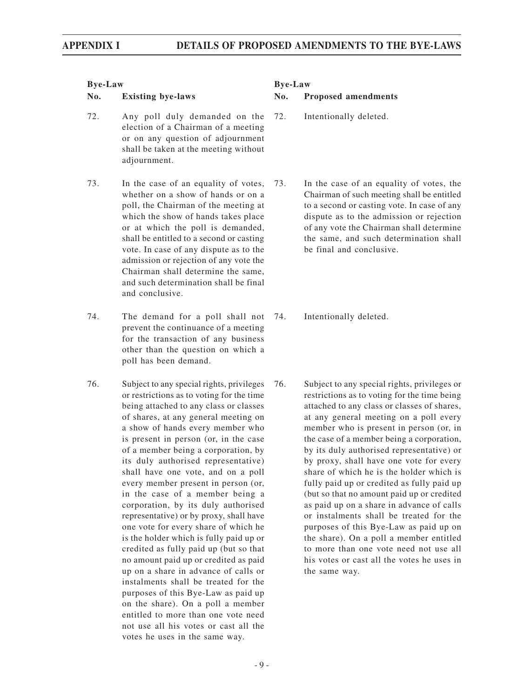- 72. Any poll duly demanded on the election of a Chairman of a meeting or on any question of adjournment shall be taken at the meeting without adjournment.
- 73. In the case of an equality of votes, whether on a show of hands or on a poll, the Chairman of the meeting at which the show of hands takes place or at which the poll is demanded, shall be entitled to a second or casting vote. In case of any dispute as to the admission or rejection of any vote the Chairman shall determine the same, and such determination shall be final and conclusive.
- 74. The demand for a poll shall not prevent the continuance of a meeting for the transaction of any business other than the question on which a poll has been demand.
- 76. Subject to any special rights, privileges or restrictions as to voting for the time being attached to any class or classes of shares, at any general meeting on a show of hands every member who is present in person (or, in the case of a member being a corporation, by its duly authorised representative) shall have one vote, and on a poll every member present in person (or, in the case of a member being a corporation, by its duly authorised representative) or by proxy, shall have one vote for every share of which he is the holder which is fully paid up or credited as fully paid up (but so that no amount paid up or credited as paid up on a share in advance of calls or instalments shall be treated for the purposes of this Bye-Law as paid up on the share). On a poll a member entitled to more than one vote need not use all his votes or cast all the votes he uses in the same way.

- 72. Intentionally deleted.
- 73. In the case of an equality of votes, the Chairman of such meeting shall be entitled to a second or casting vote. In case of any dispute as to the admission or rejection of any vote the Chairman shall determine the same, and such determination shall be final and conclusive.
- 74. Intentionally deleted.
- 76. Subject to any special rights, privileges or restrictions as to voting for the time being attached to any class or classes of shares, at any general meeting on a poll every member who is present in person (or, in the case of a member being a corporation, by its duly authorised representative) or by proxy, shall have one vote for every share of which he is the holder which is fully paid up or credited as fully paid up (but so that no amount paid up or credited as paid up on a share in advance of calls or instalments shall be treated for the purposes of this Bye-Law as paid up on the share). On a poll a member entitled to more than one vote need not use all his votes or cast all the votes he uses in the same way.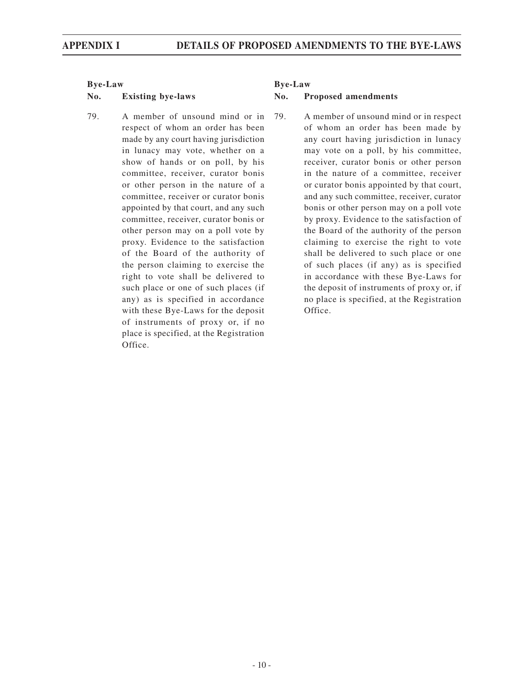79. A member of unsound mind or in respect of whom an order has been made by any court having jurisdiction in lunacy may vote, whether on a show of hands or on poll, by his committee, receiver, curator bonis or other person in the nature of a committee, receiver or curator bonis appointed by that court, and any such committee, receiver, curator bonis or other person may on a poll vote by proxy. Evidence to the satisfaction of the Board of the authority of the person claiming to exercise the right to vote shall be delivered to such place or one of such places (if any) as is specified in accordance with these Bye-Laws for the deposit of instruments of proxy or, if no place is specified, at the Registration Office.

### **No. Existing bye-laws No. Proposed amendments**

79. A member of unsound mind or in respect of whom an order has been made by any court having jurisdiction in lunacy may vote on a poll, by his committee, receiver, curator bonis or other person in the nature of a committee, receiver or curator bonis appointed by that court, and any such committee, receiver, curator bonis or other person may on a poll vote by proxy. Evidence to the satisfaction of the Board of the authority of the person claiming to exercise the right to vote shall be delivered to such place or one of such places (if any) as is specified in accordance with these Bye-Laws for the deposit of instruments of proxy or, if no place is specified, at the Registration Office.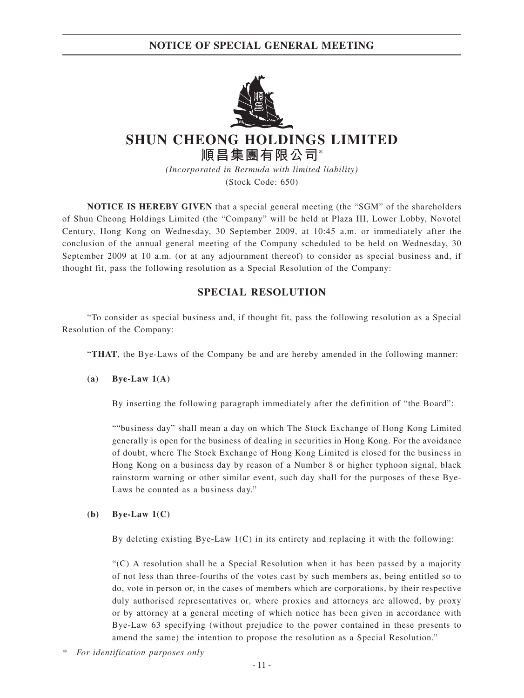**NOTICE OF SPECIAL GENERAL MEETING**



# **SHUN CHEONG HOLDINGS LIMITED 順昌集團有限公司\***

*(Incorporated in Bermuda with limited liability)* (Stock Code: 650)

**NOTICE IS HEREBY GIVEN** that a special general meeting (the "SGM" of the shareholders of Shun Cheong Holdings Limited (the "Company" will be held at Plaza III, Lower Lobby, Novotel Century, Hong Kong on Wednesday, 30 September 2009, at 10:45 a.m. or immediately after the conclusion of the annual general meeting of the Company scheduled to be held on Wednesday, 30 September 2009 at 10 a.m. (or at any adjournment thereof) to consider as special business and, if thought fit, pass the following resolution as a Special Resolution of the Company:

# **SPECIAL RESOLUTION**

"To consider as special business and, if thought fit, pass the following resolution as a Special Resolution of the Company:

"**THAT**, the Bye-Laws of the Company be and are hereby amended in the following manner:

# **(a) Bye-Law 1(A)**

By inserting the following paragraph immediately after the definition of "the Board":

""business day" shall mean a day on which The Stock Exchange of Hong Kong Limited generally is open for the business of dealing in securities in Hong Kong. For the avoidance of doubt, where The Stock Exchange of Hong Kong Limited is closed for the business in Hong Kong on a business day by reason of a Number 8 or higher typhoon signal, black rainstorm warning or other similar event, such day shall for the purposes of these Bye-Laws be counted as a business day."

### **(b) Bye-Law 1(C)**

By deleting existing Bye-Law  $1(C)$  in its entirety and replacing it with the following:

"(C) A resolution shall be a Special Resolution when it has been passed by a majority of not less than three-fourths of the votes cast by such members as, being entitled so to do, vote in person or, in the cases of members which are corporations, by their respective duly authorised representatives or, where proxies and attorneys are allowed, by proxy or by attorney at a general meeting of which notice has been given in accordance with Bye-Law 63 specifying (without prejudice to the power contained in these presents to amend the same) the intention to propose the resolution as a Special Resolution."

*\* For identification purposes only*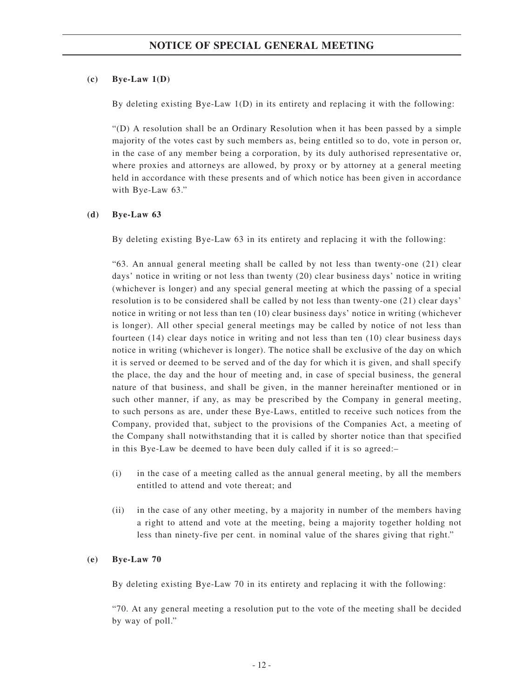## **(c) Bye-Law 1(D)**

By deleting existing Bye-Law 1(D) in its entirety and replacing it with the following:

"(D) A resolution shall be an Ordinary Resolution when it has been passed by a simple majority of the votes cast by such members as, being entitled so to do, vote in person or, in the case of any member being a corporation, by its duly authorised representative or, where proxies and attorneys are allowed, by proxy or by attorney at a general meeting held in accordance with these presents and of which notice has been given in accordance with Bye-Law 63."

## **(d) Bye-Law 63**

By deleting existing Bye-Law 63 in its entirety and replacing it with the following:

"63. An annual general meeting shall be called by not less than twenty-one (21) clear days' notice in writing or not less than twenty (20) clear business days' notice in writing (whichever is longer) and any special general meeting at which the passing of a special resolution is to be considered shall be called by not less than twenty-one (21) clear days' notice in writing or not less than ten (10) clear business days' notice in writing (whichever is longer). All other special general meetings may be called by notice of not less than fourteen (14) clear days notice in writing and not less than ten (10) clear business days notice in writing (whichever is longer). The notice shall be exclusive of the day on which it is served or deemed to be served and of the day for which it is given, and shall specify the place, the day and the hour of meeting and, in case of special business, the general nature of that business, and shall be given, in the manner hereinafter mentioned or in such other manner, if any, as may be prescribed by the Company in general meeting, to such persons as are, under these Bye-Laws, entitled to receive such notices from the Company, provided that, subject to the provisions of the Companies Act, a meeting of the Company shall notwithstanding that it is called by shorter notice than that specified in this Bye-Law be deemed to have been duly called if it is so agreed:–

- (i) in the case of a meeting called as the annual general meeting, by all the members entitled to attend and vote thereat; and
- (ii) in the case of any other meeting, by a majority in number of the members having a right to attend and vote at the meeting, being a majority together holding not less than ninety-five per cent. in nominal value of the shares giving that right."

# **(e) Bye-Law 70**

By deleting existing Bye-Law 70 in its entirety and replacing it with the following:

"70. At any general meeting a resolution put to the vote of the meeting shall be decided by way of poll."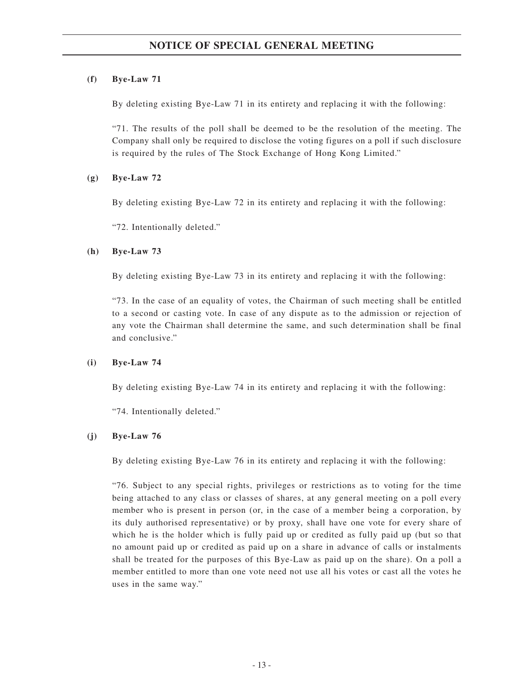# **(f) Bye-Law 71**

By deleting existing Bye-Law 71 in its entirety and replacing it with the following:

"71. The results of the poll shall be deemed to be the resolution of the meeting. The Company shall only be required to disclose the voting figures on a poll if such disclosure is required by the rules of The Stock Exchange of Hong Kong Limited."

# **(g) Bye-Law 72**

By deleting existing Bye-Law 72 in its entirety and replacing it with the following:

"72. Intentionally deleted."

# **(h) Bye-Law 73**

By deleting existing Bye-Law 73 in its entirety and replacing it with the following:

"73. In the case of an equality of votes, the Chairman of such meeting shall be entitled to a second or casting vote. In case of any dispute as to the admission or rejection of any vote the Chairman shall determine the same, and such determination shall be final and conclusive."

# **(i) Bye-Law 74**

By deleting existing Bye-Law 74 in its entirety and replacing it with the following:

"74. Intentionally deleted."

# **(j) Bye-Law 76**

By deleting existing Bye-Law 76 in its entirety and replacing it with the following:

"76. Subject to any special rights, privileges or restrictions as to voting for the time being attached to any class or classes of shares, at any general meeting on a poll every member who is present in person (or, in the case of a member being a corporation, by its duly authorised representative) or by proxy, shall have one vote for every share of which he is the holder which is fully paid up or credited as fully paid up (but so that no amount paid up or credited as paid up on a share in advance of calls or instalments shall be treated for the purposes of this Bye-Law as paid up on the share). On a poll a member entitled to more than one vote need not use all his votes or cast all the votes he uses in the same way."